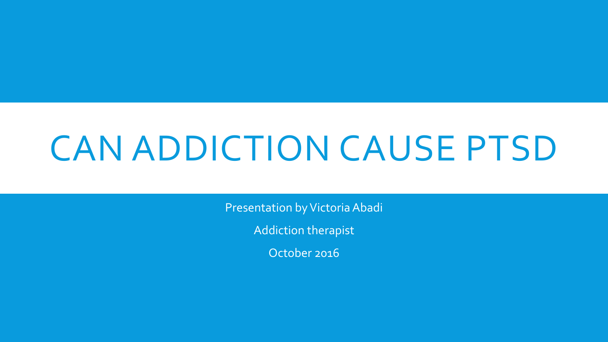# CAN ADDICTION CAUSE PTSD

Presentation by Victoria Abadi

Addiction therapist

October 2016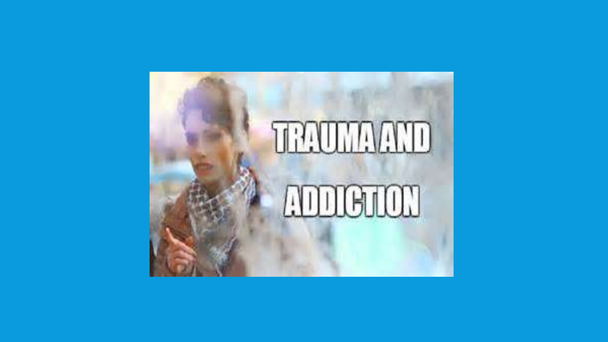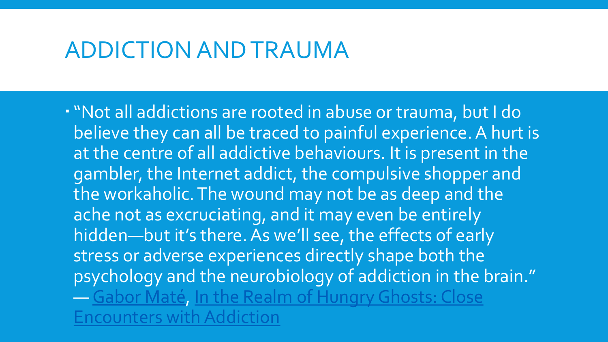"Not all addictions are rooted in abuse or trauma, but I do believe they can all be traced to painful experience. A hurt is at the centre of all addictive behaviours. It is present in the gambler, the Internet addict, the compulsive shopper and the workaholic. The wound may not be as deep and the ache not as excruciating, and it may even be entirely hidden—but it's there. As we'll see, the effects of early stress or adverse experiences directly shape both the psychology and the neurobiology of addiction in the brain." ― [Gabor Maté, In the Realm of Hungry Ghosts: Close](https://www.goodreads.com/work/quotes/604115)  Encounters with Addiction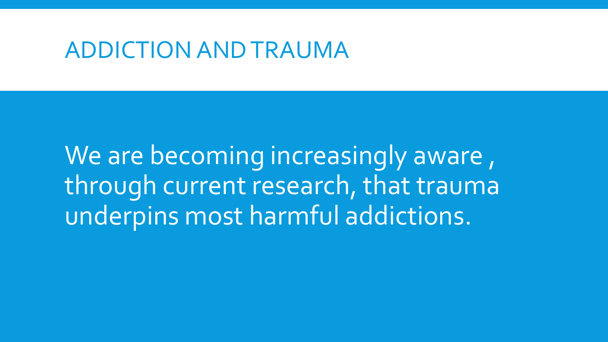We are becoming increasingly aware, through current research, that trauma underpins most harmful addictions.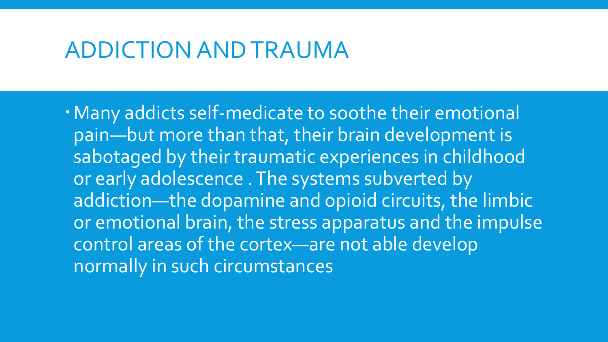. Many addicts self-medicate to soothe their emotional pain—but more than that, their brain development is sabotaged by their traumatic experiences in childhood or early adolescence . The systems subverted by addiction—the dopamine and opioid circuits, the limbic or emotional brain, the stress apparatus and the impulse control areas of the cortex—are not able develop normally in such circumstances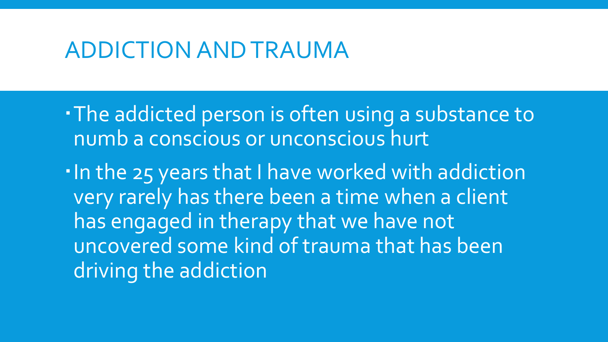The addicted person is often using a substance to numb a conscious or unconscious hurt

. In the 25 years that I have worked with addiction very rarely has there been a time when a client has engaged in therapy that we have not uncovered some kind of trauma that has been driving the addiction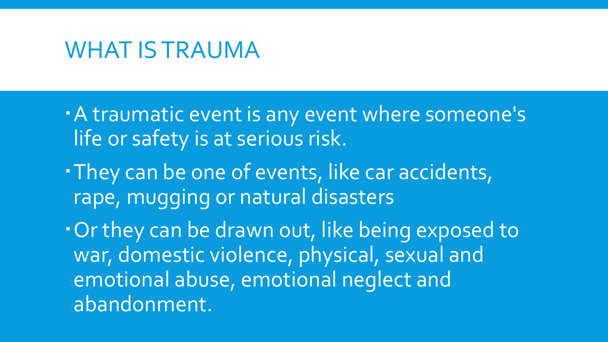#### WHAT IS TRAUMA

- A traumatic event is any event where someone's life or safety is at serious risk.
- They can be one of events, like car accidents, rape, mugging or natural disasters
- Or they can be drawn out, like being exposed to war, domestic violence, physical, sexual and emotional abuse, emotional neglect and abandonment.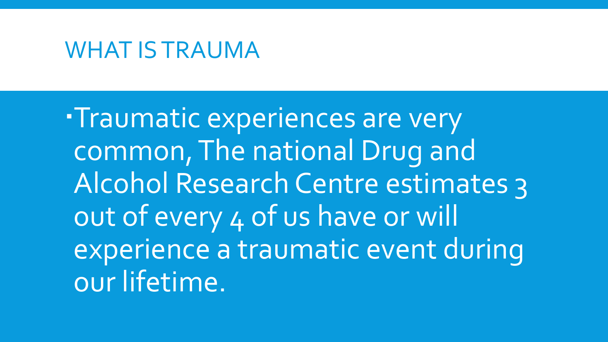#### WHAT IS TRAUMA

**Traumatic experiences are very** common, The national Drug and Alcohol Research Centre estimates 3 out of every 4 of us have or will experience a traumatic event during our lifetime.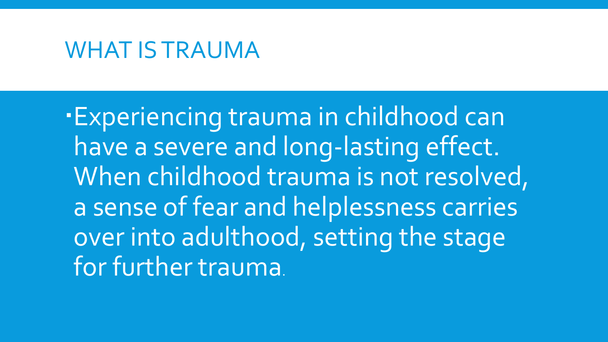#### WHAT IS TRAUMA

Experiencing trauma in childhood can have a severe and long-lasting effect. When childhood trauma is not resolved, a sense of fear and helplessness carries over into adulthood, setting the stage for further trauma.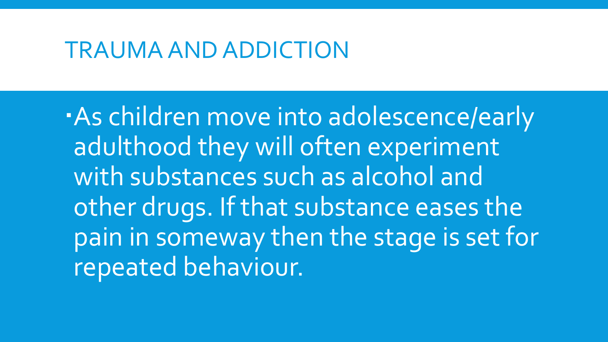#### TRAUMA AND ADDICTION

As children move into adolescence/early adulthood they will often experiment with substances such as alcohol and other drugs. If that substance eases the pain in someway then the stage is set for repeated behaviour.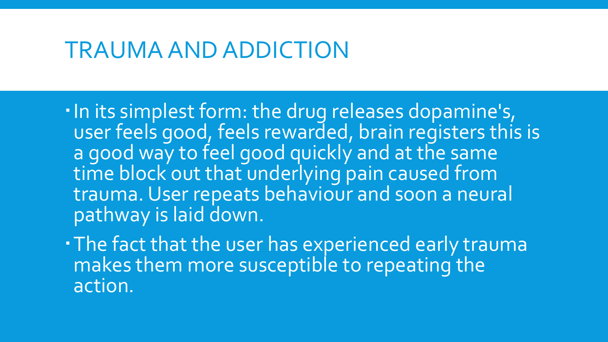### TRAUMA AND ADDICTION

- . In its simplest form: the drug releases dopamine's, user feels good, feels rewarded, brain registers this is a good way to feel good quickly and at the same time block out that underlying pain caused from trauma. User repeats behaviour and soon a neural pathway is laid down.
- The fact that the user has experienced early trauma makes them more susceptible to repeating the action.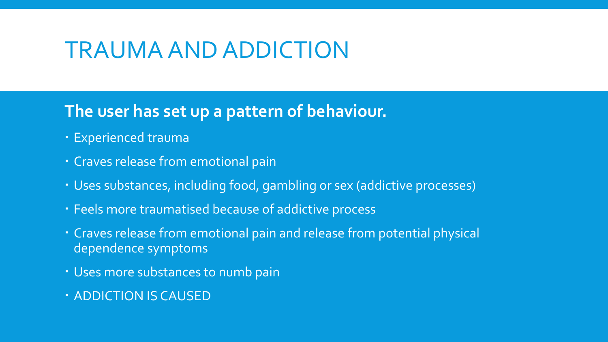## TRAUMA AND ADDICTION

#### **The user has set up a pattern of behaviour.**

- Experienced trauma
- Craves release from emotional pain
- Uses substances, including food, gambling or sex (addictive processes)
- Feels more traumatised because of addictive process
- Craves release from emotional pain and release from potential physical dependence symptoms
- Uses more substances to numb pain
- ADDICTION IS CAUSED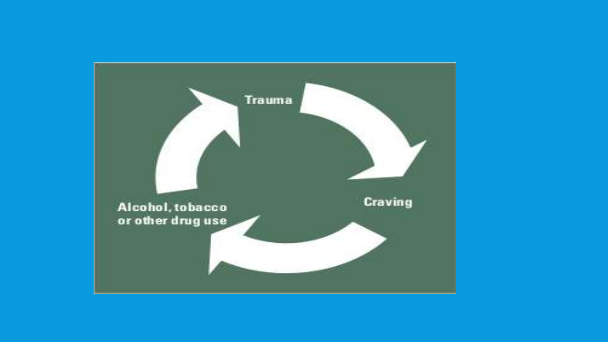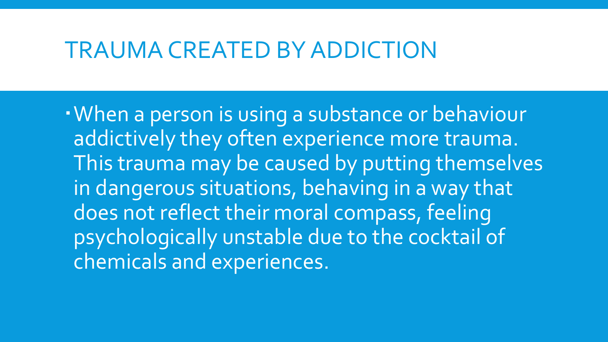#### TRAUMA CREATED BY ADDICTION

When a person is using a substance or behaviour addictively they often experience more trauma. This trauma may be caused by putting themselves in dangerous situations, behaving in a way that does not reflect their moral compass, feeling psychologically unstable due to the cocktail of chemicals and experiences.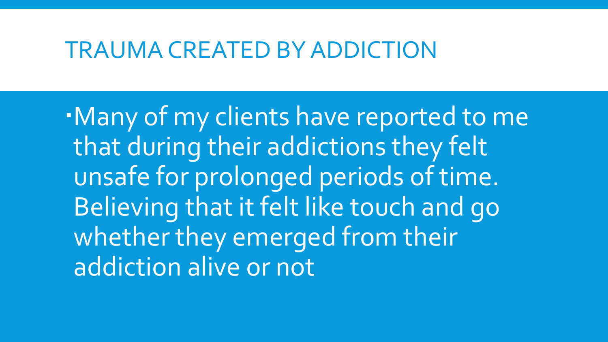#### TRAUMA CREATED BY ADDICTION

Many of my clients have reported to me that during their addictions they felt unsafe for prolonged periods of time. Believing that it felt like touch and go whether they emerged from their addiction alive or not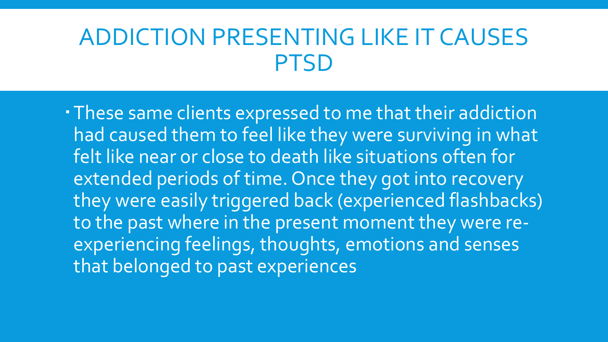# ADDICTION PRESENTING LIKE IT CAUSES PTSD

These same clients expressed to me that their addiction had caused them to feel like they were surviving in what felt like near or close to death like situations often for extended periods of time. Once they got into recovery they were easily triggered back (experienced flashbacks) to the past where in the present moment they were reexperiencing feelings, thoughts, emotions and senses that belonged to past experiences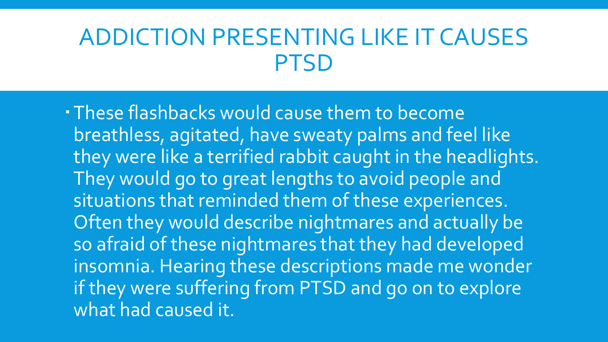# ADDICTION PRESENTING LIKE IT CAUSES PTSD

These flashbacks would cause them to become breathless, agitated, have sweaty palms and feel like they were like a terrified rabbit caught in the headlights. They would go to great lengths to avoid people and situations that reminded them of these experiences. Often they would describe nightmares and actually be so afraid of these nightmares that they had developed insomnia. Hearing these descriptions made me wonder if they were suffering from PTSD and go on to explore what had caused it.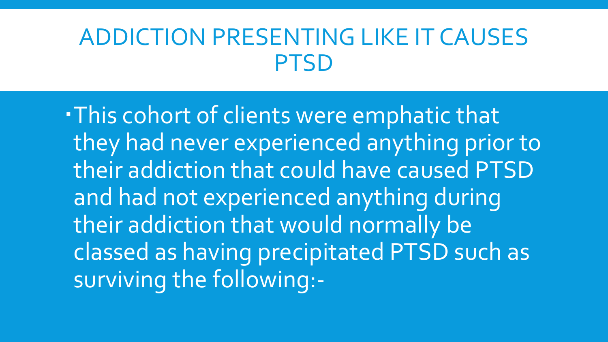# ADDICTION PRESENTING LIKE IT CAUSES PTSD

This cohort of clients were emphatic that they had never experienced anything prior to their addiction that could have caused PTSD and had not experienced anything during their addiction that would normally be classed as having precipitated PTSD such as surviving the following:-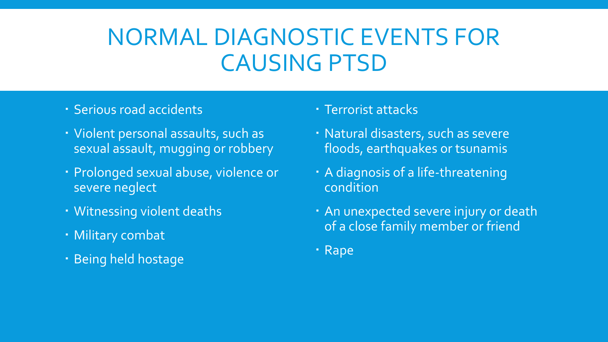# NORMAL DIAGNOSTIC EVENTS FOR CAUSING PTSD

#### Serious road accidents

- Violent personal assaults, such as sexual assault, mugging or robbery
- Prolonged sexual abuse, violence or severe neglect
- Witnessing violent deaths
- Military combat
- · Being held hostage
- Terrorist attacks
- Natural disasters, such as severe floods, earthquakes or tsunamis
- A diagnosis of a life-threatening condition
- An unexpected severe injury or death of a close family member or friend
- · Rape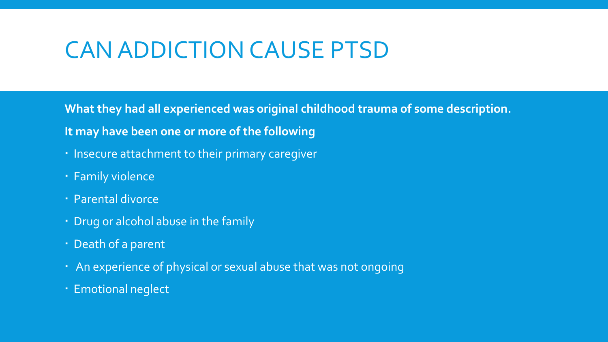# CAN ADDICTION CAUSE PTSD

**What they had all experienced was original childhood trauma of some description. It may have been one or more of the following**

- **· Insecure attachment to their primary caregiver**
- Family violence
- Parental divorce
- Drug or alcohol abuse in the family
- · Death of a parent
- An experience of physical or sexual abuse that was not ongoing
- Emotional neglect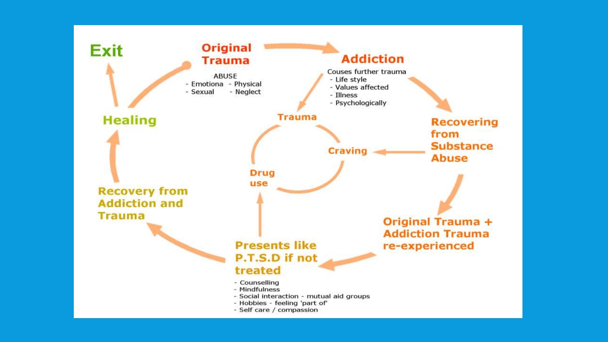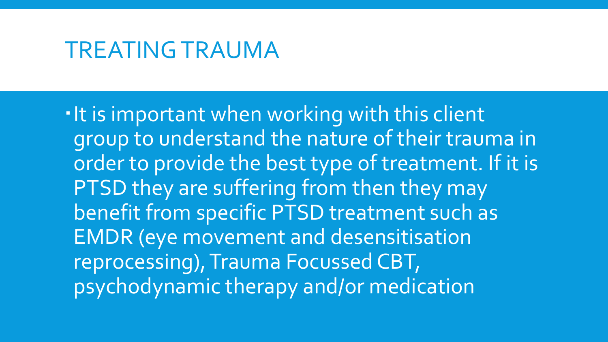#### TREATING TRAUMA

It is important when working with this client group to understand the nature of their trauma in order to provide the best type of treatment. If it is PTSD they are suffering from then they may benefit from specific PTSD treatment such as EMDR (eye movement and desensitisation reprocessing), Trauma Focussed CBT, psychodynamic therapy and/or medication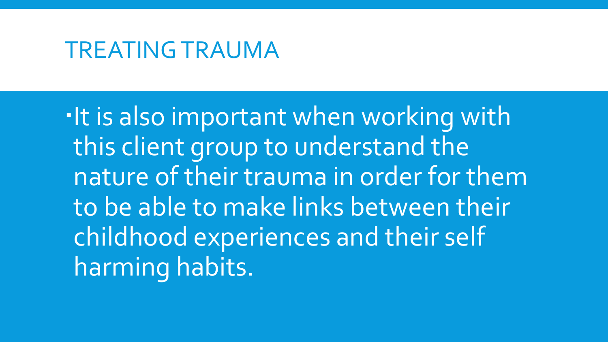#### TREATING TRAUMA

. It is also important when working with this client group to understand the nature of their trauma in order for them to be able to make links between their childhood experiences and their self harming habits.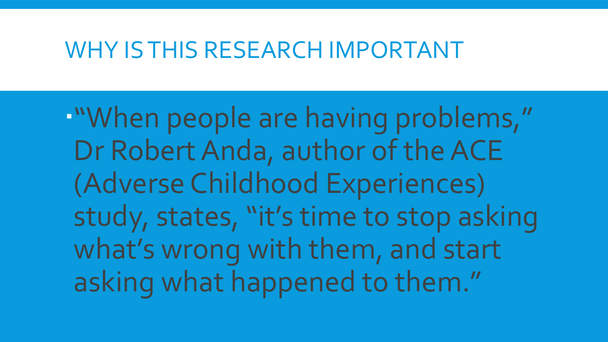#### WHY IS THIS RESEARCH IMPORTANT

"When people are having problems," Dr Robert Anda, author of the ACE (Adverse Childhood Experiences) study, states, "it's time to stop asking what's wrong with them, and start asking what happened to them."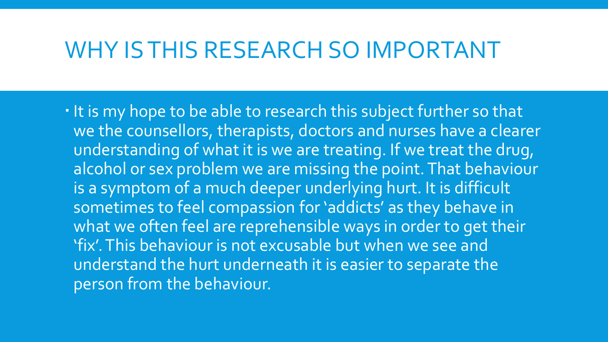## WHY IS THIS RESEARCH SO IMPORTANT

. It is my hope to be able to research this subject further so that we the counsellors, therapists, doctors and nurses have a clearer understanding of what it is we are treating. If we treat the drug, alcohol or sex problem we are missing the point. That behaviour is a symptom of a much deeper underlying hurt. It is difficult sometimes to feel compassion for 'addicts' as they behave in what we often feel are reprehensible ways in order to get their 'fix'. This behaviour is not excusable but when we see and understand the hurt underneath it is easier to separate the person from the behaviour.